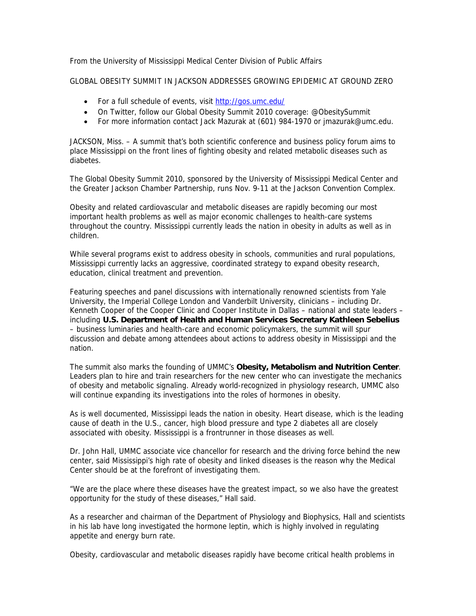From the University of Mississippi Medical Center Division of Public Affairs

GLOBAL OBESITY SUMMIT IN JACKSON ADDRESSES GROWING EPIDEMIC AT GROUND ZERO

- For a full schedule of events, visit http://gos.umc.edu/
- On Twitter, follow our Global Obesity Summit 2010 coverage: @ObesitySummit
- For more information contact Jack Mazurak at (601) 984-1970 or jmazurak@umc.edu.

JACKSON, Miss. – A summit that's both scientific conference and business policy forum aims to place Mississippi on the front lines of fighting obesity and related metabolic diseases such as diabetes.

The Global Obesity Summit 2010, sponsored by the University of Mississippi Medical Center and the Greater Jackson Chamber Partnership, runs Nov. 9-11 at the Jackson Convention Complex.

Obesity and related cardiovascular and metabolic diseases are rapidly becoming our most important health problems as well as major economic challenges to health-care systems throughout the country. Mississippi currently leads the nation in obesity in adults as well as in children.

While several programs exist to address obesity in schools, communities and rural populations, Mississippi currently lacks an aggressive, coordinated strategy to expand obesity research, education, clinical treatment and prevention.

Featuring speeches and panel discussions with internationally renowned scientists from Yale University, the Imperial College London and Vanderbilt University, clinicians – including Dr. Kenneth Cooper of the Cooper Clinic and Cooper Institute in Dallas – national and state leaders – including **U.S. Department of Health and Human Services Secretary Kathleen Sebelius** – business luminaries and health-care and economic policymakers, the summit will spur discussion and debate among attendees about actions to address obesity in Mississippi and the nation.

The summit also marks the founding of UMMC's **Obesity, Metabolism and Nutrition Center**. Leaders plan to hire and train researchers for the new center who can investigate the mechanics of obesity and metabolic signaling. Already world-recognized in physiology research, UMMC also will continue expanding its investigations into the roles of hormones in obesity.

As is well documented, Mississippi leads the nation in obesity. Heart disease, which is the leading cause of death in the U.S., cancer, high blood pressure and type 2 diabetes all are closely associated with obesity. Mississippi is a frontrunner in those diseases as well.

Dr. John Hall, UMMC associate vice chancellor for research and the driving force behind the new center, said Mississippi's high rate of obesity and linked diseases is the reason why the Medical Center should be at the forefront of investigating them.

"We are the place where these diseases have the greatest impact, so we also have the greatest opportunity for the study of these diseases," Hall said.

As a researcher and chairman of the Department of Physiology and Biophysics, Hall and scientists in his lab have long investigated the hormone leptin, which is highly involved in regulating appetite and energy burn rate.

Obesity, cardiovascular and metabolic diseases rapidly have become critical health problems in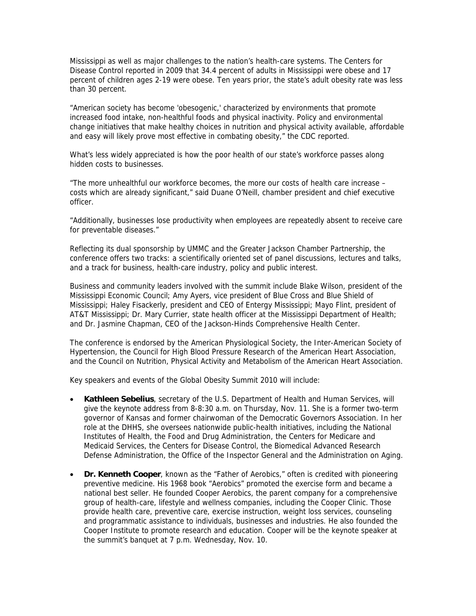Mississippi as well as major challenges to the nation's health-care systems. The Centers for Disease Control reported in 2009 that 34.4 percent of adults in Mississippi were obese and 17 percent of children ages 2-19 were obese. Ten years prior, the state's adult obesity rate was less than 30 percent.

"American society has become 'obesogenic,' characterized by environments that promote increased food intake, non-healthful foods and physical inactivity. Policy and environmental change initiatives that make healthy choices in nutrition and physical activity available, affordable and easy will likely prove most effective in combating obesity," the CDC reported.

What's less widely appreciated is how the poor health of our state's workforce passes along hidden costs to businesses.

"The more unhealthful our workforce becomes, the more our costs of health care increase – costs which are already significant," said Duane O'Neill, chamber president and chief executive officer.

"Additionally, businesses lose productivity when employees are repeatedly absent to receive care for preventable diseases."

Reflecting its dual sponsorship by UMMC and the Greater Jackson Chamber Partnership, the conference offers two tracks: a scientifically oriented set of panel discussions, lectures and talks, and a track for business, health-care industry, policy and public interest.

Business and community leaders involved with the summit include Blake Wilson, president of the Mississippi Economic Council; Amy Ayers, vice president of Blue Cross and Blue Shield of Mississippi; Haley Fisackerly, president and CEO of Entergy Mississippi; Mayo Flint, president of AT&T Mississippi; Dr. Mary Currier, state health officer at the Mississippi Department of Health; and Dr. Jasmine Chapman, CEO of the Jackson-Hinds Comprehensive Health Center.

The conference is endorsed by the American Physiological Society, the Inter-American Society of Hypertension, the Council for High Blood Pressure Research of the American Heart Association, and the Council on Nutrition, Physical Activity and Metabolism of the American Heart Association.

Key speakers and events of the Global Obesity Summit 2010 will include:

- **Kathleen Sebelius**, secretary of the U.S. Department of Health and Human Services, will give the keynote address from 8-8:30 a.m. on Thursday, Nov. 11. She is a former two-term governor of Kansas and former chairwoman of the Democratic Governors Association. In her role at the DHHS, she oversees nationwide public-health initiatives, including the National Institutes of Health, the Food and Drug Administration, the Centers for Medicare and Medicaid Services, the Centers for Disease Control, the Biomedical Advanced Research Defense Administration, the Office of the Inspector General and the Administration on Aging.
- **Dr. Kenneth Cooper**, known as the "Father of Aerobics," often is credited with pioneering preventive medicine. His 1968 book "Aerobics" promoted the exercise form and became a national best seller. He founded Cooper Aerobics, the parent company for a comprehensive group of health-care, lifestyle and wellness companies, including the Cooper Clinic. Those provide health care, preventive care, exercise instruction, weight loss services, counseling and programmatic assistance to individuals, businesses and industries. He also founded the Cooper Institute to promote research and education. Cooper will be the keynote speaker at the summit's banquet at 7 p.m. Wednesday, Nov. 10.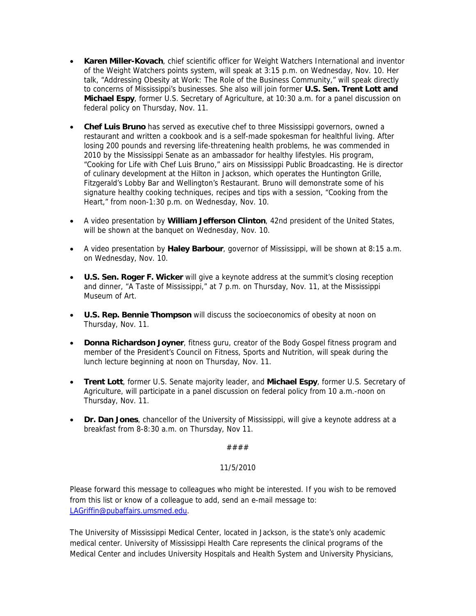- **Karen Miller-Kovach**, chief scientific officer for Weight Watchers International and inventor of the Weight Watchers points system, will speak at 3:15 p.m. on Wednesday, Nov. 10. Her talk, "Addressing Obesity at Work: The Role of the Business Community," will speak directly to concerns of Mississippi's businesses. She also will join former **U.S. Sen. Trent Lott and Michael Espy**, former U.S. Secretary of Agriculture, at 10:30 a.m. for a panel discussion on federal policy on Thursday, Nov. 11.
- **Chef Luis Bruno** has served as executive chef to three Mississippi governors, owned a restaurant and written a cookbook and is a self-made spokesman for healthful living. After losing 200 pounds and reversing life-threatening health problems, he was commended in 2010 by the Mississippi Senate as an ambassador for healthy lifestyles. His program, "Cooking for Life with Chef Luis Bruno," airs on Mississippi Public Broadcasting. He is director of culinary development at the Hilton in Jackson, which operates the Huntington Grille, Fitzgerald's Lobby Bar and Wellington's Restaurant. Bruno will demonstrate some of his signature healthy cooking techniques, recipes and tips with a session, "Cooking from the Heart," from noon-1:30 p.m. on Wednesday, Nov. 10.
- A video presentation by **William Jefferson Clinton**, 42nd president of the United States, will be shown at the banquet on Wednesday, Nov. 10.
- A video presentation by **Haley Barbour**, governor of Mississippi, will be shown at 8:15 a.m. on Wednesday, Nov. 10.
- **U.S. Sen. Roger F. Wicker** will give a keynote address at the summit's closing reception and dinner, "A Taste of Mississippi," at 7 p.m. on Thursday, Nov. 11, at the Mississippi Museum of Art.
- **U.S. Rep. Bennie Thompson** will discuss the socioeconomics of obesity at noon on Thursday, Nov. 11.
- **Donna Richardson Joyner**, fitness guru, creator of the Body Gospel fitness program and member of the President's Council on Fitness, Sports and Nutrition, will speak during the lunch lecture beginning at noon on Thursday, Nov. 11.
- **Trent Lott**, former U.S. Senate majority leader, and **Michael Espy**, former U.S. Secretary of Agriculture, will participate in a panel discussion on federal policy from 10 a.m.-noon on Thursday, Nov. 11.
- **Dr. Dan Jones**, chancellor of the University of Mississippi, will give a keynote address at a breakfast from 8-8:30 a.m. on Thursday, Nov 11.

####

## 11/5/2010

Please forward this message to colleagues who might be interested. If you wish to be removed from this list or know of a colleague to add, send an e-mail message to: LAGriffin@pubaffairs.umsmed.edu.

The University of Mississippi Medical Center, located in Jackson, is the state's only academic medical center. University of Mississippi Health Care represents the clinical programs of the Medical Center and includes University Hospitals and Health System and University Physicians,